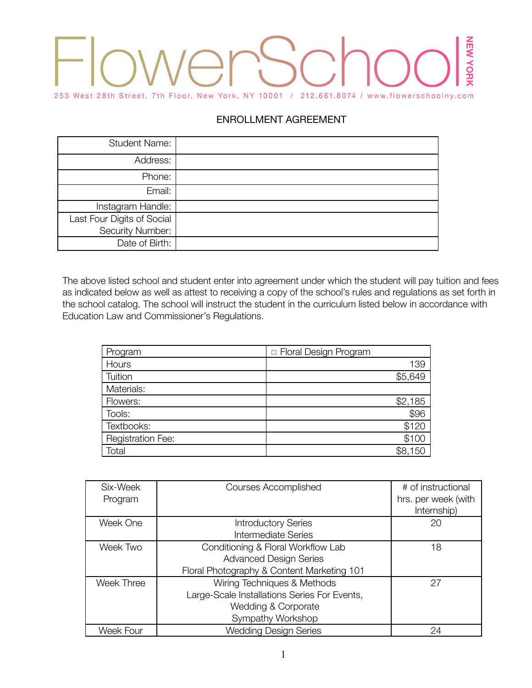# NEW YOR 253 West 28th Street, 7th Floor, New York, NY 10001 / 212.661.8074 / www.flowerschoolny.com

# ENROLLMENT AGREEMENT

| <b>Student Name:</b>       |  |
|----------------------------|--|
| Address:                   |  |
| Phone:                     |  |
| Email:                     |  |
| Instagram Handle:          |  |
| Last Four Digits of Social |  |
| Security Number:           |  |
| Date of Birth:             |  |

The above listed school and student enter into agreement under which the student will pay tuition and fees as indicated below as well as attest to receiving a copy of the school's rules and regulations as set forth in the school catalog. The school will instruct the student in the curriculum listed below in accordance with Education Law and Commissioner's Regulations.

| Program                  | <b>D</b> Floral Design Program |
|--------------------------|--------------------------------|
| Hours                    | 139                            |
| Tuition                  | \$5,649                        |
| Materials:               |                                |
| Flowers:                 | \$2,185                        |
| Tools:                   | \$96                           |
| Textbooks:               | \$120                          |
| <b>Registration Fee:</b> | \$100                          |
| Total                    | \$8,150                        |

| Six-Week<br>Program | <b>Courses Accomplished</b>                  | # of instructional<br>hrs. per week (with<br>Internship) |
|---------------------|----------------------------------------------|----------------------------------------------------------|
| Week One            | <b>Introductory Series</b>                   | 20                                                       |
|                     | <b>Intermediate Series</b>                   |                                                          |
| Week Two            | Conditioning & Floral Workflow Lab           | 18                                                       |
|                     | <b>Advanced Design Series</b>                |                                                          |
|                     | Floral Photography & Content Marketing 101   |                                                          |
| <b>Week Three</b>   | Wiring Techniques & Methods                  | 27                                                       |
|                     | Large-Scale Installations Series For Events, |                                                          |
|                     | Wedding & Corporate                          |                                                          |
|                     | Sympathy Workshop                            |                                                          |
| Week Four           | <b>Wedding Design Series</b>                 | 24                                                       |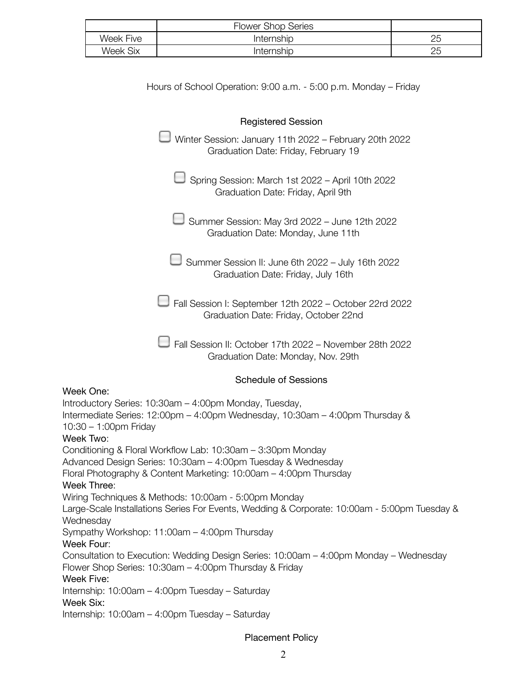|           | <b>Flower Shop Series</b> |          |
|-----------|---------------------------|----------|
| Week Five | Internship                | つに<br>∠∪ |
| Week Six  | Internship                | 25       |

| Hours of School Operation: 9:00 a.m. - 5:00 p.m. Monday – Friday                                                                                                                                                |
|-----------------------------------------------------------------------------------------------------------------------------------------------------------------------------------------------------------------|
| <b>Registered Session</b>                                                                                                                                                                                       |
| Winter Session: January 11th 2022 - February 20th 2022<br>Graduation Date: Friday, February 19                                                                                                                  |
| Spring Session: March 1st 2022 - April 10th 2022<br>Graduation Date: Friday, April 9th                                                                                                                          |
| Summer Session: May 3rd 2022 - June 12th 2022<br>Graduation Date: Monday, June 11th                                                                                                                             |
| Summer Session II: June 6th 2022 - July 16th 2022<br>Graduation Date: Friday, July 16th                                                                                                                         |
| Fall Session I: September 12th 2022 - October 22rd 2022<br>Graduation Date: Friday, October 22nd                                                                                                                |
| Fall Session II: October 17th 2022 - November 28th 2022<br>Graduation Date: Monday, Nov. 29th                                                                                                                   |
| <b>Schedule of Sessions</b>                                                                                                                                                                                     |
| Week One:<br>Introductory Series: 10:30am - 4:00pm Monday, Tuesday,<br>Intermediate Series: 12:00pm - 4:00pm Wednesday, 10:30am - 4:00pm Thursday &<br>$10:30 - 1:00$ pm Friday<br>Week Two:                    |
| Conditioning & Floral Workflow Lab: 10:30am - 3:30pm Monday<br>Advanced Design Series: 10:30am - 4:00pm Tuesday & Wednesday<br>Floral Photography & Content Marketing: 10:00am - 4:00pm Thursday<br>Week Three: |
| Wiring Techniques & Methods: 10:00am - 5:00pm Monday<br>Large-Scale Installations Series For Events, Wedding & Corporate: 10:00am - 5:00pm Tuesday &<br>Wednesday                                               |
| Sympathy Workshop: 11:00am - 4:00pm Thursday<br>Week Four:<br>Consultation to Execution: Wedding Design Series: 10:00am - 4:00pm Monday - Wednesday                                                             |
| Flower Shop Series: 10:30am – 4:00pm Thursday & Friday<br>Week Five:<br>Internship: 10:00am - 4:00pm Tuesday - Saturday                                                                                         |
| Week Six:<br>Internship: 10:00am - 4:00pm Tuesday - Saturday                                                                                                                                                    |

Placement Policy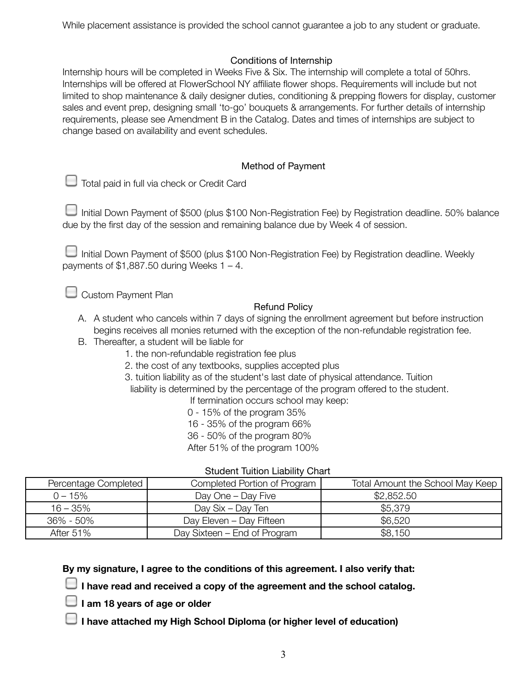While placement assistance is provided the school cannot guarantee a job to any student or graduate.

## Conditions of Internship

Internship hours will be completed in Weeks Five & Six. The internship will complete a total of 50hrs. Internships will be offered at FlowerSchool NY affiliate flower shops. Requirements will include but not limited to shop maintenance & daily designer duties, conditioning & prepping flowers for display, customer sales and event prep, designing small 'to-go' bouquets & arrangements. For further details of internship requirements, please see Amendment B in the Catalog. Dates and times of internships are subject to change based on availability and event schedules.

## Method of Payment

|  | Total paid in full via check or Credit Card |  |  |  |  |
|--|---------------------------------------------|--|--|--|--|
|--|---------------------------------------------|--|--|--|--|

Initial Down Payment of \$500 (plus \$100 Non-Registration Fee) by Registration deadline. 50% balance due by the first day of the session and remaining balance due by Week 4 of session.

Initial Down Payment of \$500 (plus \$100 Non-Registration Fee) by Registration deadline. Weekly payments of  $$1,887.50$  during Weeks  $1 - 4$ .

 $\Box$  Custom Payment Plan

## Refund Policy

- A. A student who cancels within 7 days of signing the enrollment agreement but before instruction begins receives all monies returned with the exception of the non-refundable registration fee.
- B. Thereafter, a student will be liable for
	- 1. the non-refundable registration fee plus
	- 2. the cost of any textbooks, supplies accepted plus
	- 3. tuition liability as of the student's last date of physical attendance. Tuition

liability is determined by the percentage of the program offered to the student.

If termination occurs school may keep:

- 0 15% of the program 35%
- 16 35% of the program 66%
- 36 50% of the program 80%

After 51% of the program 100%

| Percentage Completed | Completed Portion of Program | Total Amount the School May Keep |  |
|----------------------|------------------------------|----------------------------------|--|
| $0 - 15\%$           | Day One - Day Five           | \$2,852.50                       |  |
| $16 - 35\%$          | Day Six - Day Ten            | \$5,379                          |  |
| $36\% - 50\%$        | Day Eleven - Day Fifteen     | \$6,520                          |  |
| After $51\%$         | Day Sixteen – End of Program | \$8,150                          |  |

Student Tuition Liability Chart

**By my signature, I agree to the conditions of this agreement. I also verify that:**

**I have read and received a copy of the agreement and the school catalog.**

- **I am 18 years of age or older**
- **I have attached my High School Diploma (or higher level of education)**